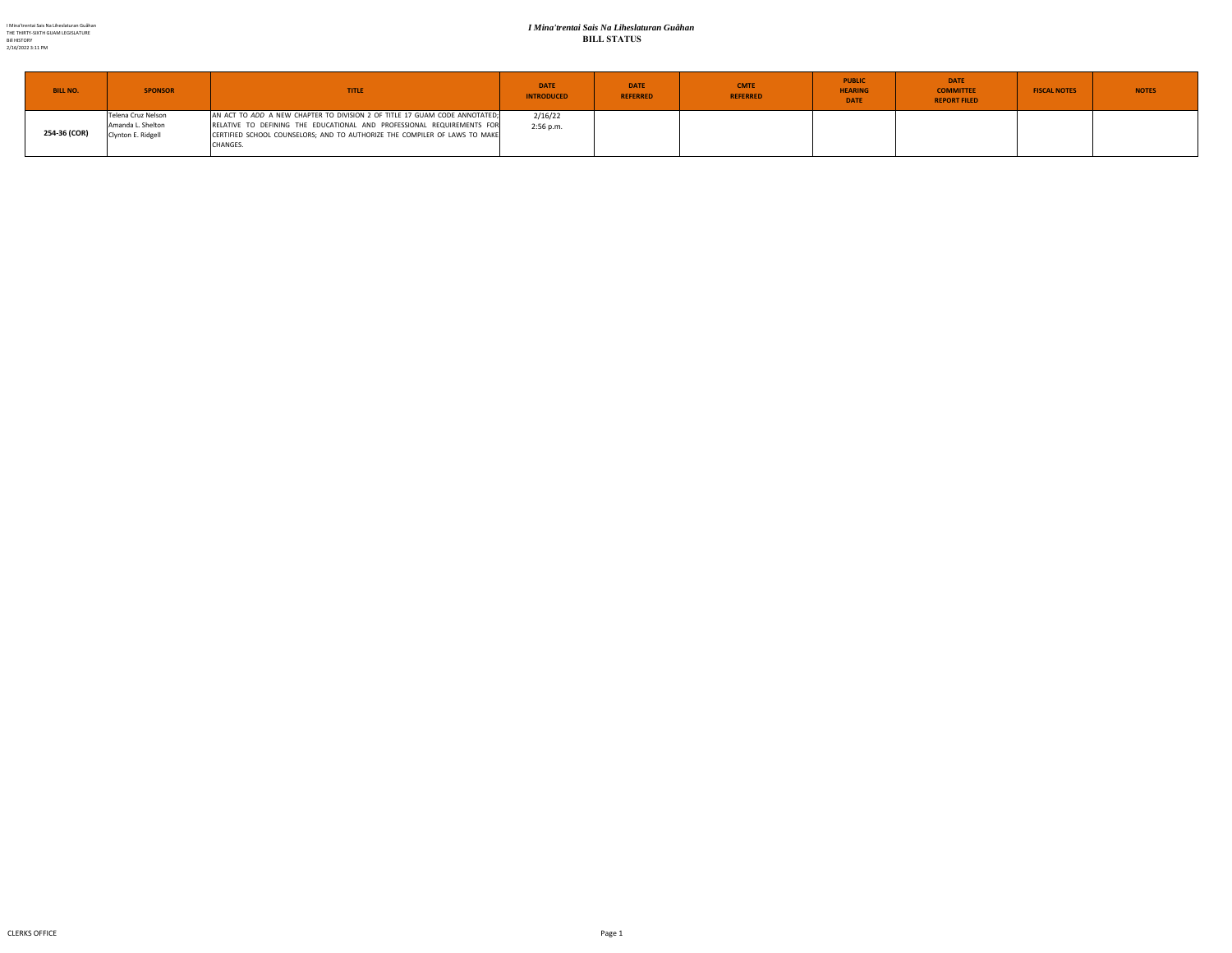#### *I Mina'trentai Sais Na Liheslaturan Guåhan* **BILL STATUS**

| <b>BILL NO.</b> | <b>SPONSOR</b>                                                | <b>TITLE</b>                                                                                                                                                                                                                                   | <b>DATE</b><br><b>INTRODUCED</b> | <b>DATE</b><br><b>REFERRED</b> | <b>CMTE</b><br><b>REFERRED</b> | <b>PUBLIC</b><br><b>HEARING</b><br><b>DATE</b> | <b>DATE</b><br><b>COMMITTEE</b><br><b>REPORT FILED</b> | <b>FISCAL NOTES</b> | <b>NOTES</b> |
|-----------------|---------------------------------------------------------------|------------------------------------------------------------------------------------------------------------------------------------------------------------------------------------------------------------------------------------------------|----------------------------------|--------------------------------|--------------------------------|------------------------------------------------|--------------------------------------------------------|---------------------|--------------|
| 254-36 (COR)    | Telena Cruz Nelson<br>Amanda L. Shelton<br>Clynton E. Ridgell | AN ACT TO ADD A NEW CHAPTER TO DIVISION 2 OF TITLE 17 GUAM CODE ANNOTATED;<br>RELATIVE TO DEFINING THE EDUCATIONAL AND PROFESSIONAL REQUIREMENTS FOR<br>CERTIFIED SCHOOL COUNSELORS; AND TO AUTHORIZE THE COMPILER OF LAWS TO MAKE<br>CHANGES. | 2/16/22<br>2:56 p.m.             |                                |                                |                                                |                                                        |                     |              |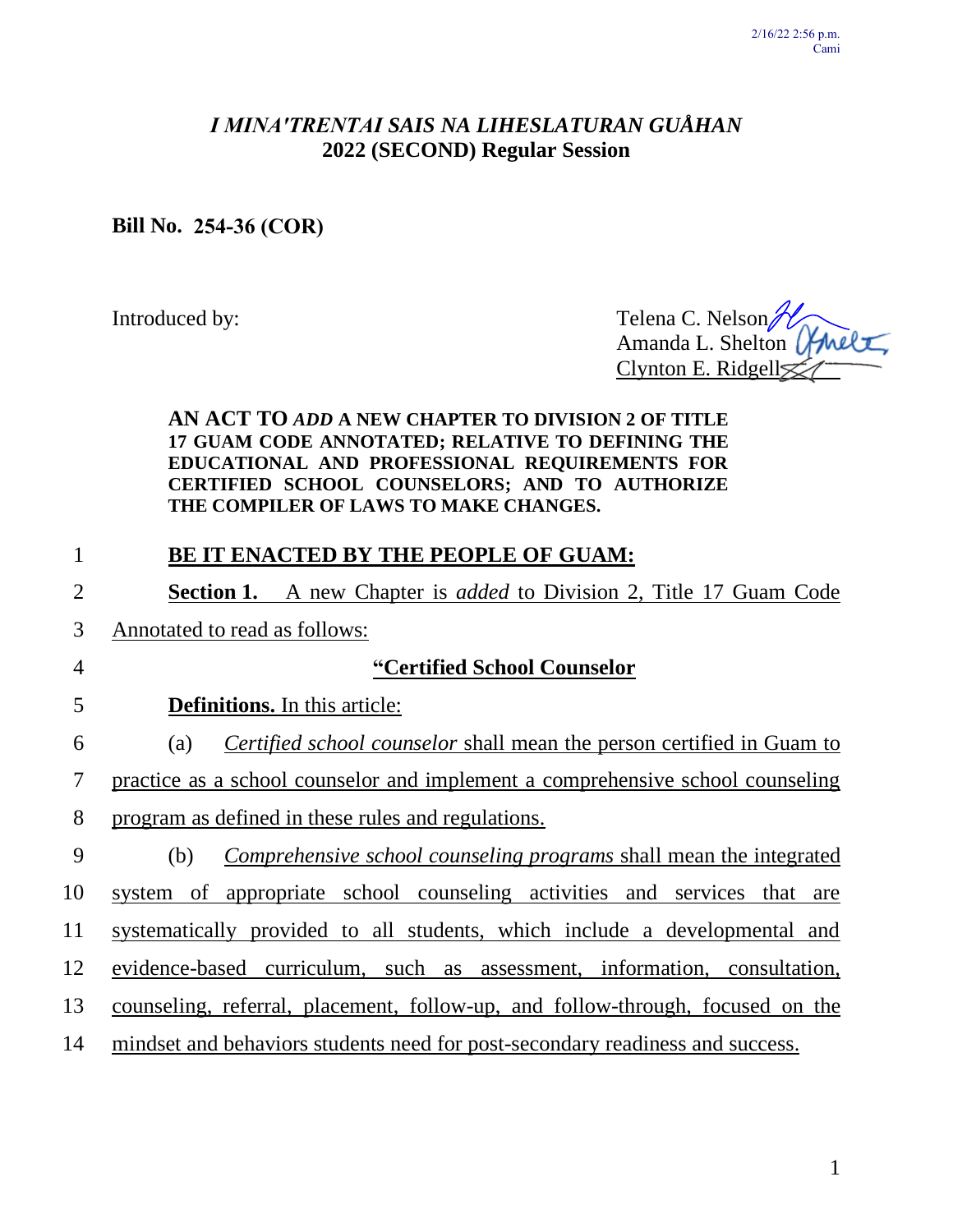# *I MINA′TRENTAI SAIS NA LIHESLATURAN GUÅHAN* **2022 (SECOND) Regular Session**

# **Bill No. 254-36 (COR)**

Introduced by: Telena C. Nelson Amanda L. Shelton | Clynton E. Ridgell

### **AN ACT TO** *ADD* **A NEW CHAPTER TO DIVISION 2 OF TITLE 17 GUAM CODE ANNOTATED; RELATIVE TO DEFINING THE EDUCATIONAL AND PROFESSIONAL REQUIREMENTS FOR CERTIFIED SCHOOL COUNSELORS; AND TO AUTHORIZE THE COMPILER OF LAWS TO MAKE CHANGES.**

# 1 **BE IT ENACTED BY THE PEOPLE OF GUAM:** 2 **Section 1.** A new Chapter is *added* to Division 2, Title 17 Guam Code 3 Annotated to read as follows: 4 **"Certified School Counselor** 5 **Definitions.** In this article: 6 (a) *Certified school counselor* shall mean the person certified in Guam to 7 practice as a school counselor and implement a comprehensive school counseling 8 program as defined in these rules and regulations. 9 (b) *Comprehensive school counseling programs* shall mean the integrated 10 system of appropriate school counseling activities and services that are 11 systematically provided to all students, which include a developmental and 12 evidence-based curriculum, such as assessment, information, consultation, 13 counseling, referral, placement, follow-up, and follow-through, focused on the 14 mindset and behaviors students need for post-secondary readiness and success.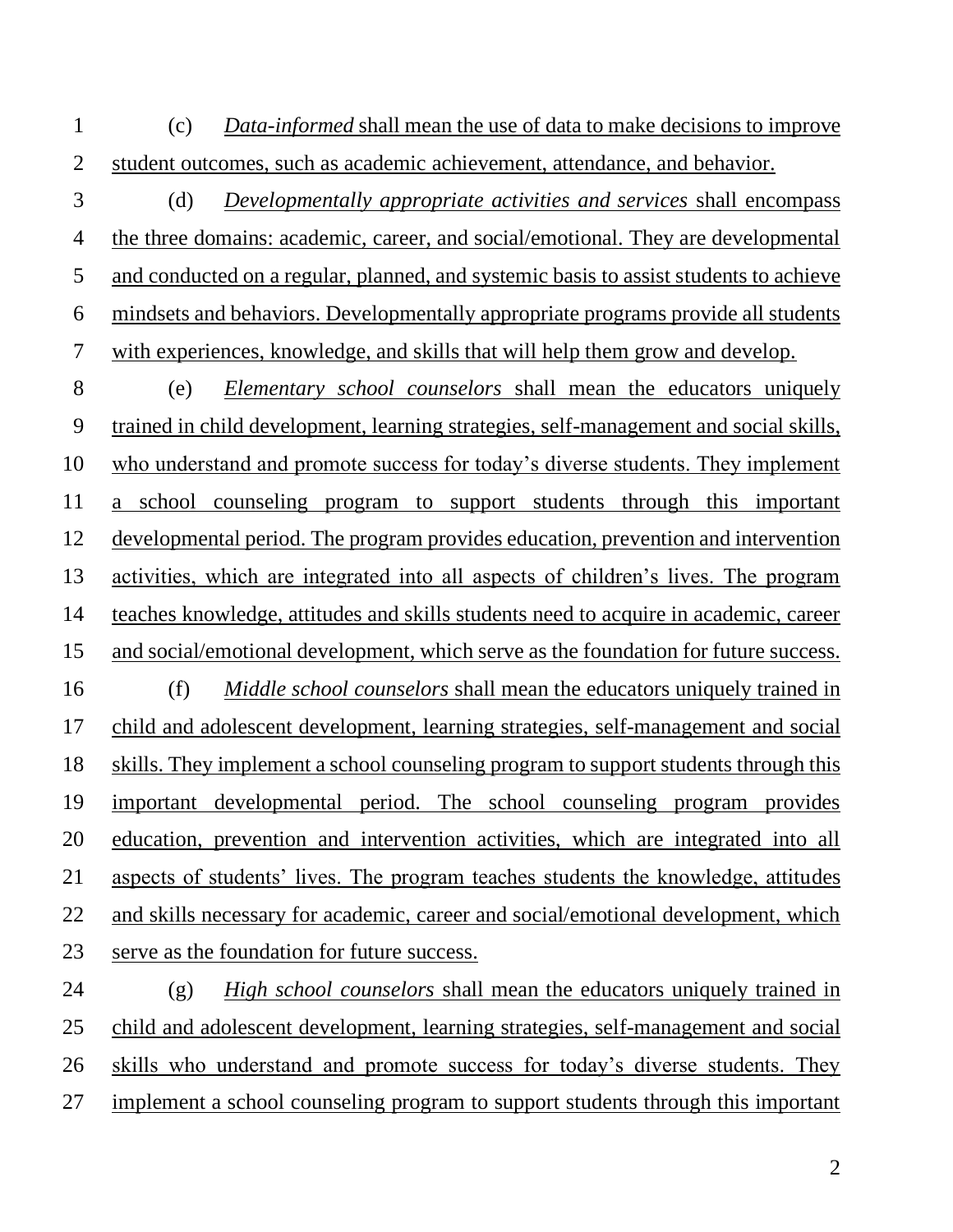(c) *Data-informed* shall mean the use of data to make decisions to improve student outcomes, such as academic achievement, attendance, and behavior.

 (d) *Developmentally appropriate activities and services* shall encompass the three domains: academic, career, and social/emotional. They are developmental and conducted on a regular, planned, and systemic basis to assist students to achieve mindsets and behaviors. Developmentally appropriate programs provide all students with experiences, knowledge, and skills that will help them grow and develop.

 (e) *Elementary school counselors* shall mean the educators uniquely trained in child development, learning strategies, self-management and social skills, who understand and promote success for today's diverse students. They implement a school counseling program to support students through this important developmental period. The program provides education, prevention and intervention activities, which are integrated into all aspects of children's lives. The program teaches knowledge, attitudes and skills students need to acquire in academic, career and social/emotional development, which serve as the foundation for future success. (f) *Middle school counselors* shall mean the educators uniquely trained in child and adolescent development, learning strategies, self-management and social skills. They implement a school counseling program to support students through this important developmental period. The school counseling program provides education, prevention and intervention activities, which are integrated into all

 aspects of students' lives. The program teaches students the knowledge, attitudes and skills necessary for academic, career and social/emotional development, which serve as the foundation for future success.

 (g) *High school counselors* shall mean the educators uniquely trained in child and adolescent development, learning strategies, self-management and social skills who understand and promote success for today's diverse students. They implement a school counseling program to support students through this important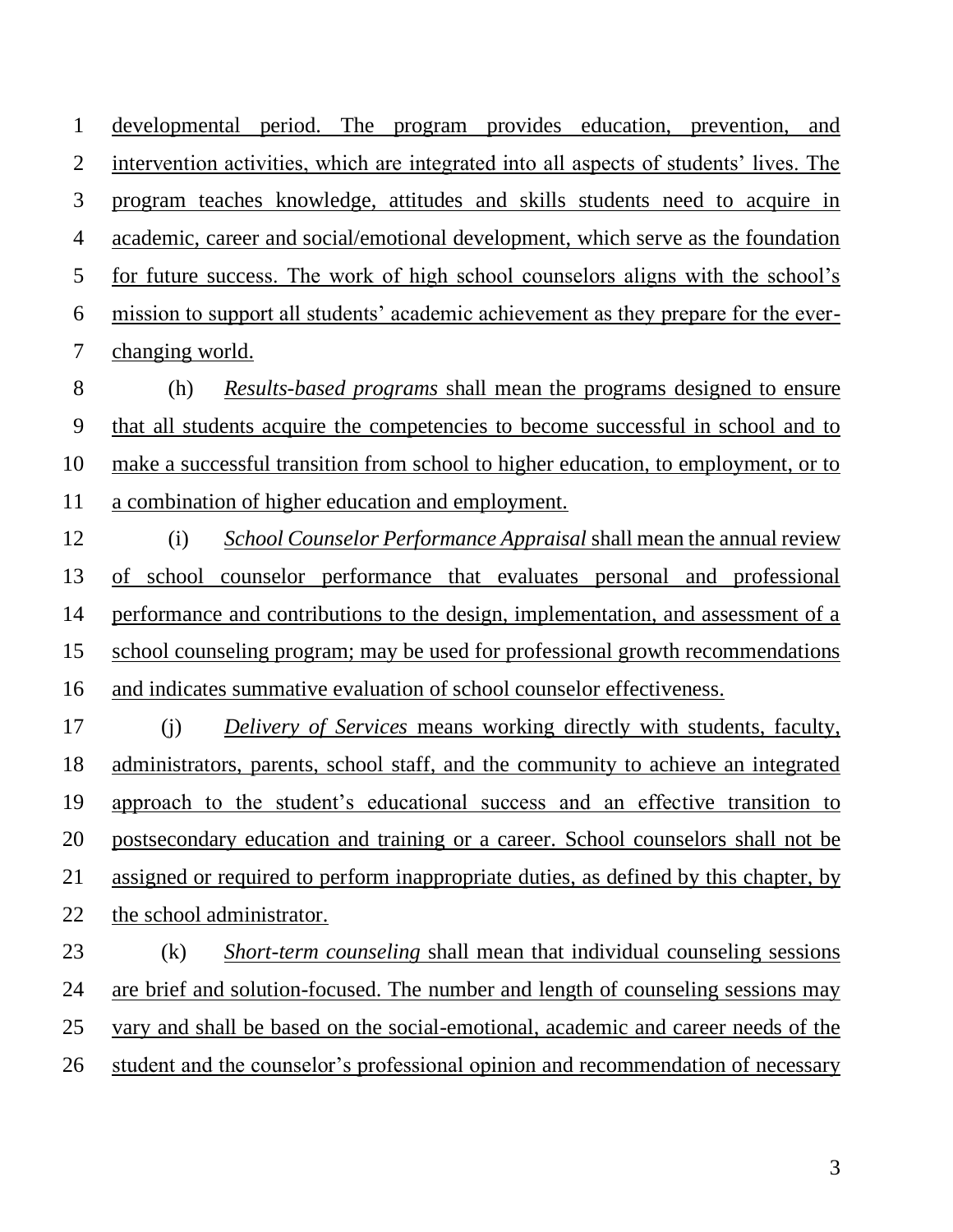developmental period. The program provides education, prevention, and intervention activities, which are integrated into all aspects of students' lives. The program teaches knowledge, attitudes and skills students need to acquire in academic, career and social/emotional development, which serve as the foundation for future success. The work of high school counselors aligns with the school's mission to support all students' academic achievement as they prepare for the ever-changing world.

 (h) *Results-based programs* shall mean the programs designed to ensure that all students acquire the competencies to become successful in school and to make a successful transition from school to higher education, to employment, or to a combination of higher education and employment.

 (i) *School Counselor Performance Appraisal* shall mean the annual review of school counselor performance that evaluates personal and professional performance and contributions to the design, implementation, and assessment of a school counseling program; may be used for professional growth recommendations and indicates summative evaluation of school counselor effectiveness.

 (j) *Delivery of Services* means working directly with students, faculty, administrators, parents, school staff, and the community to achieve an integrated approach to the student's educational success and an effective transition to postsecondary education and training or a career. School counselors shall not be assigned or required to perform inappropriate duties, as defined by this chapter, by the school administrator.

 (k) *Short-term counseling* shall mean that individual counseling sessions are brief and solution-focused. The number and length of counseling sessions may vary and shall be based on the social-emotional, academic and career needs of the student and the counselor's professional opinion and recommendation of necessary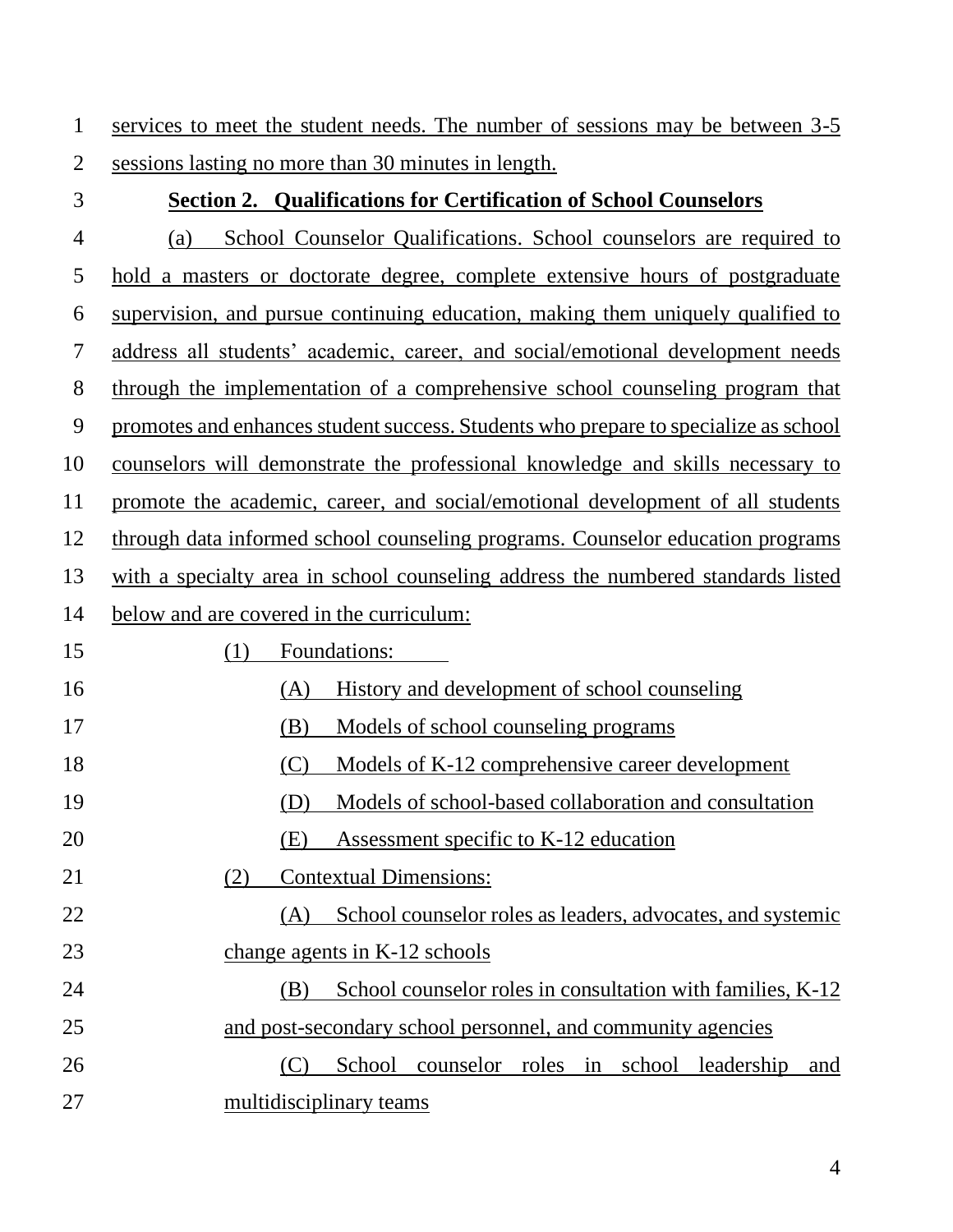services to meet the student needs. The number of sessions may be between 3-5 sessions lasting no more than 30 minutes in length.

## **Section 2. Qualifications for Certification of School Counselors**

 (a) School Counselor Qualifications. School counselors are required to hold a masters or doctorate degree, complete extensive hours of postgraduate supervision, and pursue continuing education, making them uniquely qualified to address all students' academic, career, and social/emotional development needs through the implementation of a comprehensive school counseling program that promotes and enhances student success. Students who prepare to specialize as school counselors will demonstrate the professional knowledge and skills necessary to promote the academic, career, and social/emotional development of all students through data informed school counseling programs. Counselor education programs with a specialty area in school counseling address the numbered standards listed below and are covered in the curriculum: (1) Foundations: (A) History and development of school counseling (B) Models of school counseling programs (C) Models of K-12 comprehensive career development (D) Models of school-based collaboration and consultation (E) Assessment specific to K-12 education (2) Contextual Dimensions: (A) School counselor roles as leaders, advocates, and systemic change agents in K-12 schools (B) School counselor roles in consultation with families, K-12 and post-secondary school personnel, and community agencies (C) School counselor roles in school leadership and multidisciplinary teams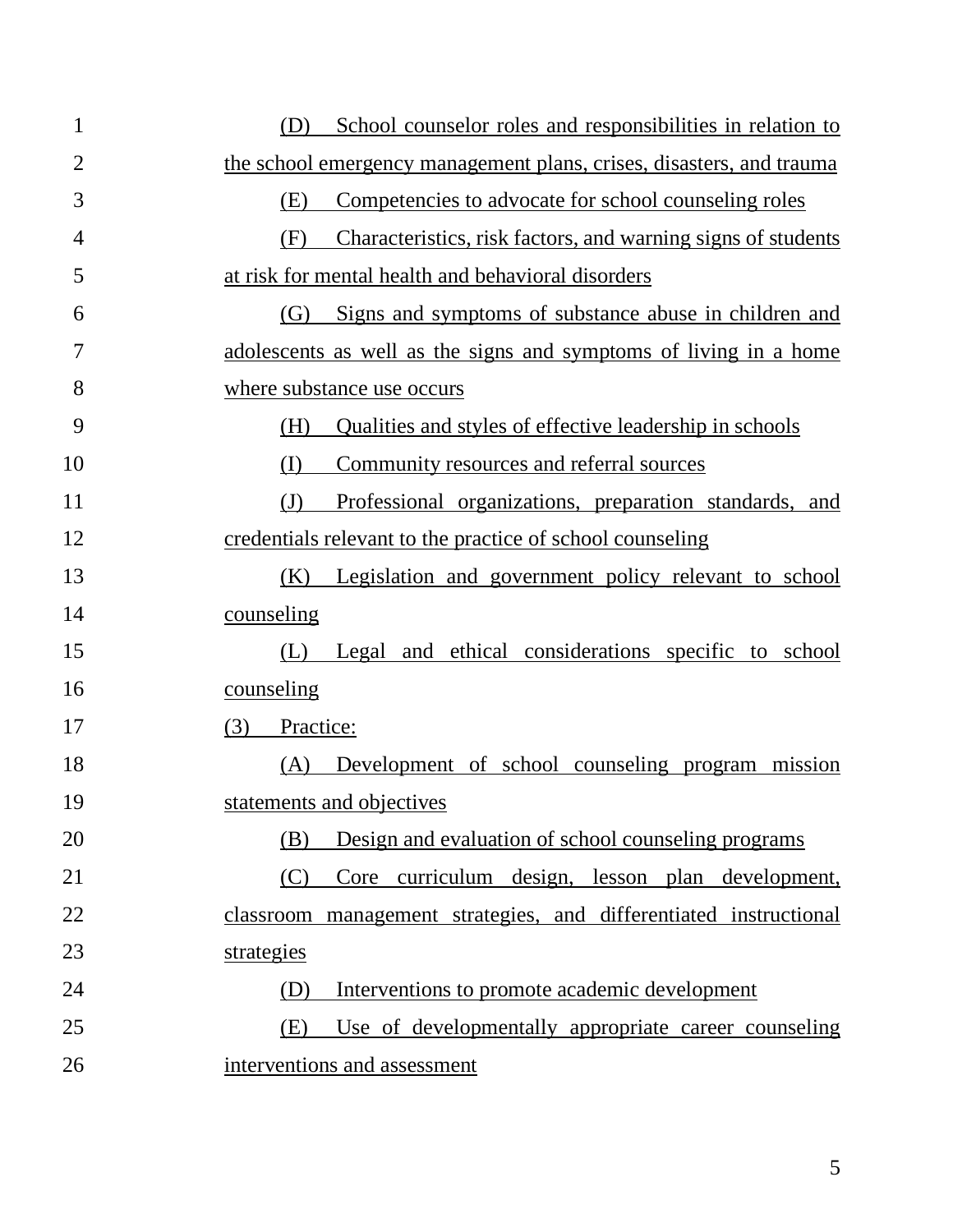| $\mathbf{1}$   | School counselor roles and responsibilities in relation to<br>(D)      |
|----------------|------------------------------------------------------------------------|
| $\overline{2}$ | the school emergency management plans, crises, disasters, and trauma   |
| 3              | (E)<br>Competencies to advocate for school counseling roles            |
| 4              | Characteristics, risk factors, and warning signs of students<br>(F)    |
| 5              | at risk for mental health and behavioral disorders                     |
| 6              | Signs and symptoms of substance abuse in children and<br>(G)           |
| 7              | adolescents as well as the signs and symptoms of living in a home      |
| 8              | where substance use occurs                                             |
| 9              | Qualities and styles of effective leadership in schools<br>(H)         |
| 10             | (I)<br>Community resources and referral sources                        |
| 11             | $\mathrm{J}$<br>Professional organizations, preparation standards, and |
| 12             | credentials relevant to the practice of school counseling              |
| 13             | (K)<br>Legislation and government policy relevant to school            |
| 14             | counseling                                                             |
| 15             | and ethical considerations specific to school<br>(L)<br>Legal          |
| 16             | counseling                                                             |
| 17             | (3)<br>Practice:                                                       |
| 18             | Development of school counseling program<br>(A)<br>mission             |
| 19             | statements and objectives                                              |
| 20             | Design and evaluation of school counseling programs<br>(B)             |
| 21             | Core curriculum design, lesson plan development,<br>(C)                |
| 22             | classroom management strategies, and differentiated instructional      |
| 23             | strategies                                                             |
| 24             | Interventions to promote academic development<br>(D)                   |
| 25             | Use of developmentally appropriate career counseling<br>(E)            |
|                |                                                                        |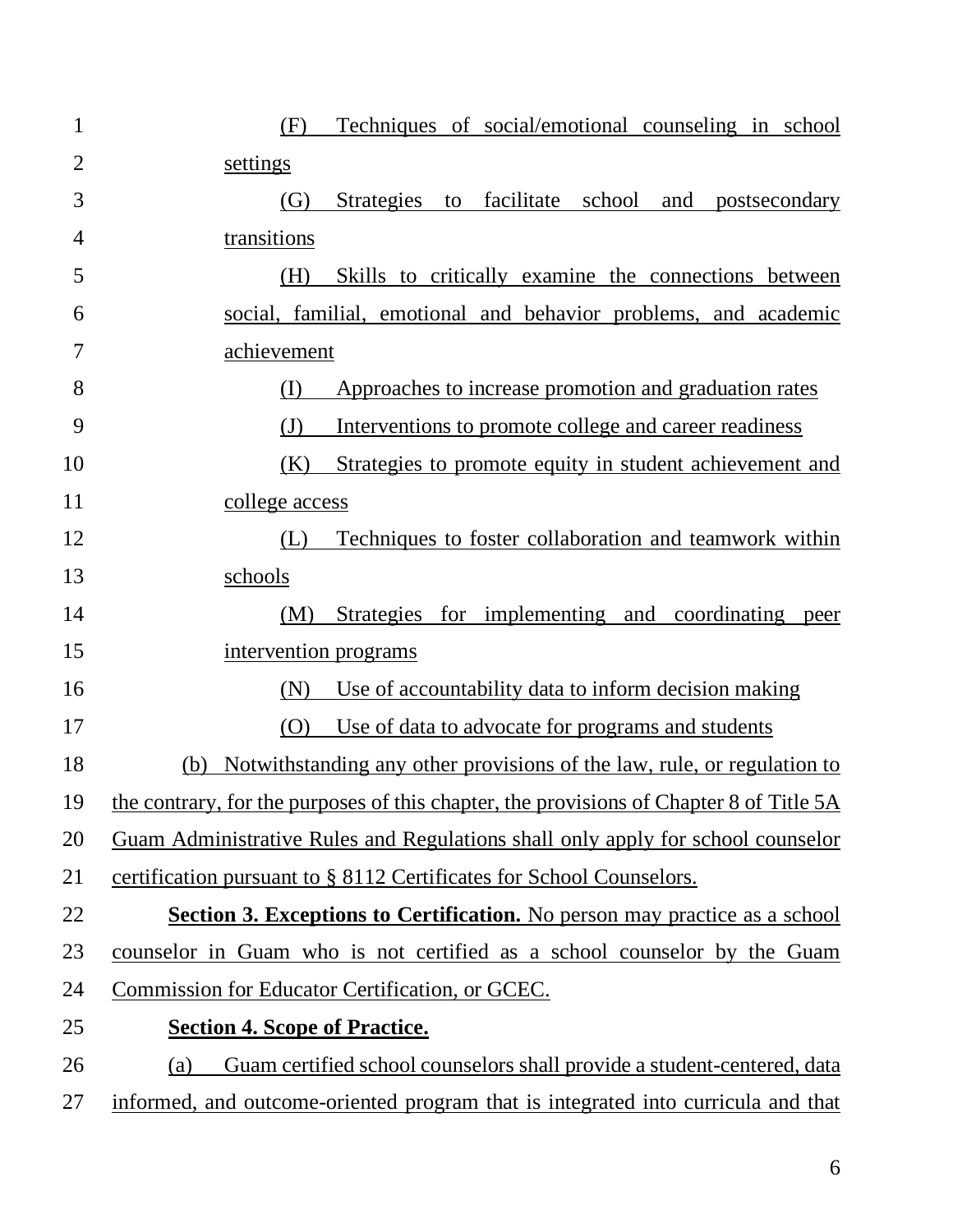| $\mathbf{1}$   | Techniques of social/emotional counseling in school<br>(F)                              |
|----------------|-----------------------------------------------------------------------------------------|
| $\overline{2}$ | settings                                                                                |
| 3              | to facilitate school<br><b>Strategies</b><br>and postsecondary<br>(G)                   |
| $\overline{4}$ | transitions                                                                             |
| 5              | Skills to critically examine the connections between<br>(H)                             |
| 6              | social, familial, emotional and behavior problems, and academic                         |
| 7              | achievement                                                                             |
| 8              | Approaches to increase promotion and graduation rates<br>(I)                            |
| 9              | $\mathrm{J}$<br>Interventions to promote college and career readiness                   |
| 10             | Strategies to promote equity in student achievement and<br>(K)                          |
| 11             | college access                                                                          |
| 12             | Techniques to foster collaboration and teamwork within<br>(L)                           |
| 13             | schools                                                                                 |
| 14             | Strategies for implementing and coordinating peer<br>(M)                                |
| 15             | intervention programs                                                                   |
| 16             | Use of accountability data to inform decision making<br>(N)                             |
| 17             | Use of data to advocate for programs and students<br>(O)                                |
| 18             | Notwithstanding any other provisions of the law, rule, or regulation to<br>(b)          |
| 19             | the contrary, for the purposes of this chapter, the provisions of Chapter 8 of Title 5A |
| 20             | Guam Administrative Rules and Regulations shall only apply for school counselor         |
| 21             | certification pursuant to § 8112 Certificates for School Counselors.                    |
| 22             | <b>Section 3. Exceptions to Certification.</b> No person may practice as a school       |
| 23             | counselor in Guam who is not certified as a school counselor by the Guam                |
| 24             | Commission for Educator Certification, or GCEC.                                         |
| 25             | <b>Section 4. Scope of Practice.</b>                                                    |
| 26             | Guam certified school counselors shall provide a student-centered, data<br>(a)          |
| 27             | informed, and outcome-oriented program that is integrated into curricula and that       |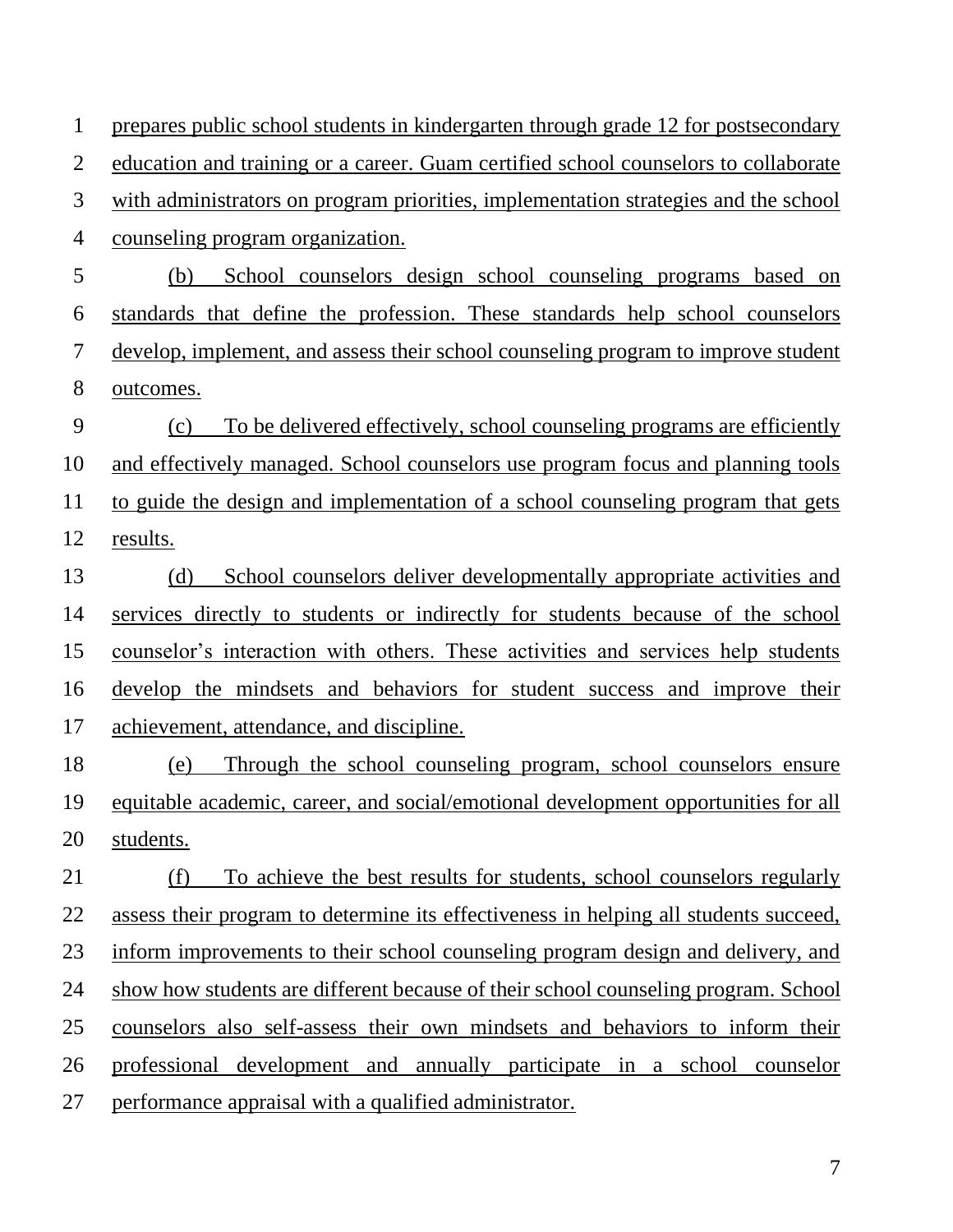education and training or a career. Guam certified school counselors to collaborate with administrators on program priorities, implementation strategies and the school counseling program organization. (b) School counselors design school counseling programs based on standards that define the profession. These standards help school counselors develop, implement, and assess their school counseling program to improve student outcomes. (c) To be delivered effectively, school counseling programs are efficiently and effectively managed. School counselors use program focus and planning tools to guide the design and implementation of a school counseling program that gets results. (d) School counselors deliver developmentally appropriate activities and services directly to students or indirectly for students because of the school counselor's interaction with others. These activities and services help students develop the mindsets and behaviors for student success and improve their achievement, attendance, and discipline. (e) Through the school counseling program, school counselors ensure equitable academic, career, and social/emotional development opportunities for all students. (f) To achieve the best results for students, school counselors regularly assess their program to determine its effectiveness in helping all students succeed, inform improvements to their school counseling program design and delivery, and show how students are different because of their school counseling program. School counselors also self-assess their own mindsets and behaviors to inform their professional development and annually participate in a school counselor performance appraisal with a qualified administrator.

prepares public school students in kindergarten through grade 12 for postsecondary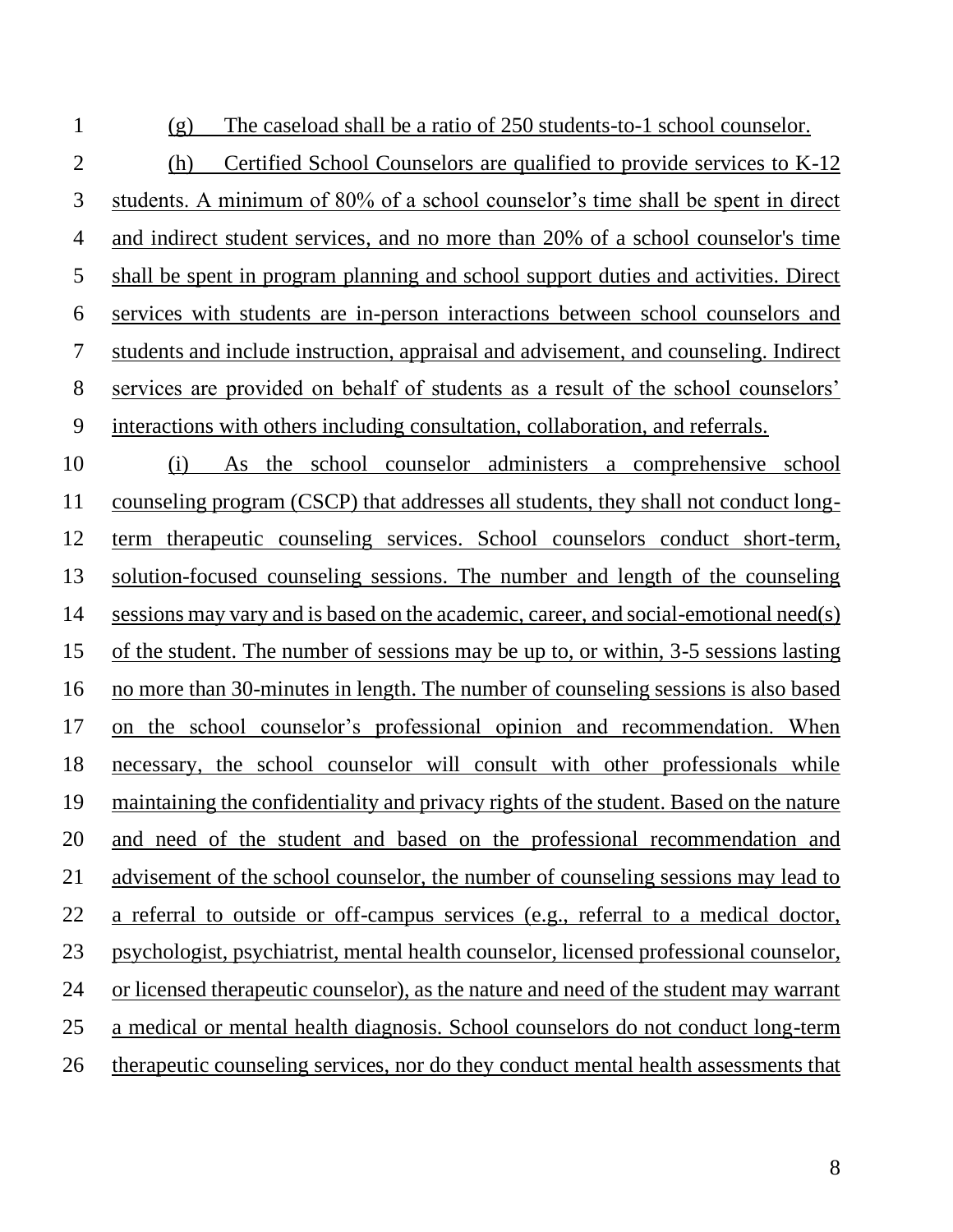(g) The caseload shall be a ratio of 250 students-to-1 school counselor.

 (h) Certified School Counselors are qualified to provide services to K-12 students. A minimum of 80% of a school counselor's time shall be spent in direct and indirect student services, and no more than 20% of a school counselor's time shall be spent in program planning and school support duties and activities. Direct services with students are in-person interactions between school counselors and students and include instruction, appraisal and advisement, and counseling. Indirect services are provided on behalf of students as a result of the school counselors' interactions with others including consultation, collaboration, and referrals.

 (i) As the school counselor administers a comprehensive school counseling program (CSCP) that addresses all students, they shall not conduct long- term therapeutic counseling services. School counselors conduct short-term, solution-focused counseling sessions. The number and length of the counseling sessions may vary and is based on the academic, career, and social-emotional need(s) of the student. The number of sessions may be up to, or within, 3-5 sessions lasting no more than 30-minutes in length. The number of counseling sessions is also based on the school counselor's professional opinion and recommendation. When necessary, the school counselor will consult with other professionals while maintaining the confidentiality and privacy rights of the student. Based on the nature and need of the student and based on the professional recommendation and advisement of the school counselor, the number of counseling sessions may lead to a referral to outside or off-campus services (e.g., referral to a medical doctor, psychologist, psychiatrist, mental health counselor, licensed professional counselor, or licensed therapeutic counselor), as the nature and need of the student may warrant a medical or mental health diagnosis. School counselors do not conduct long-term therapeutic counseling services, nor do they conduct mental health assessments that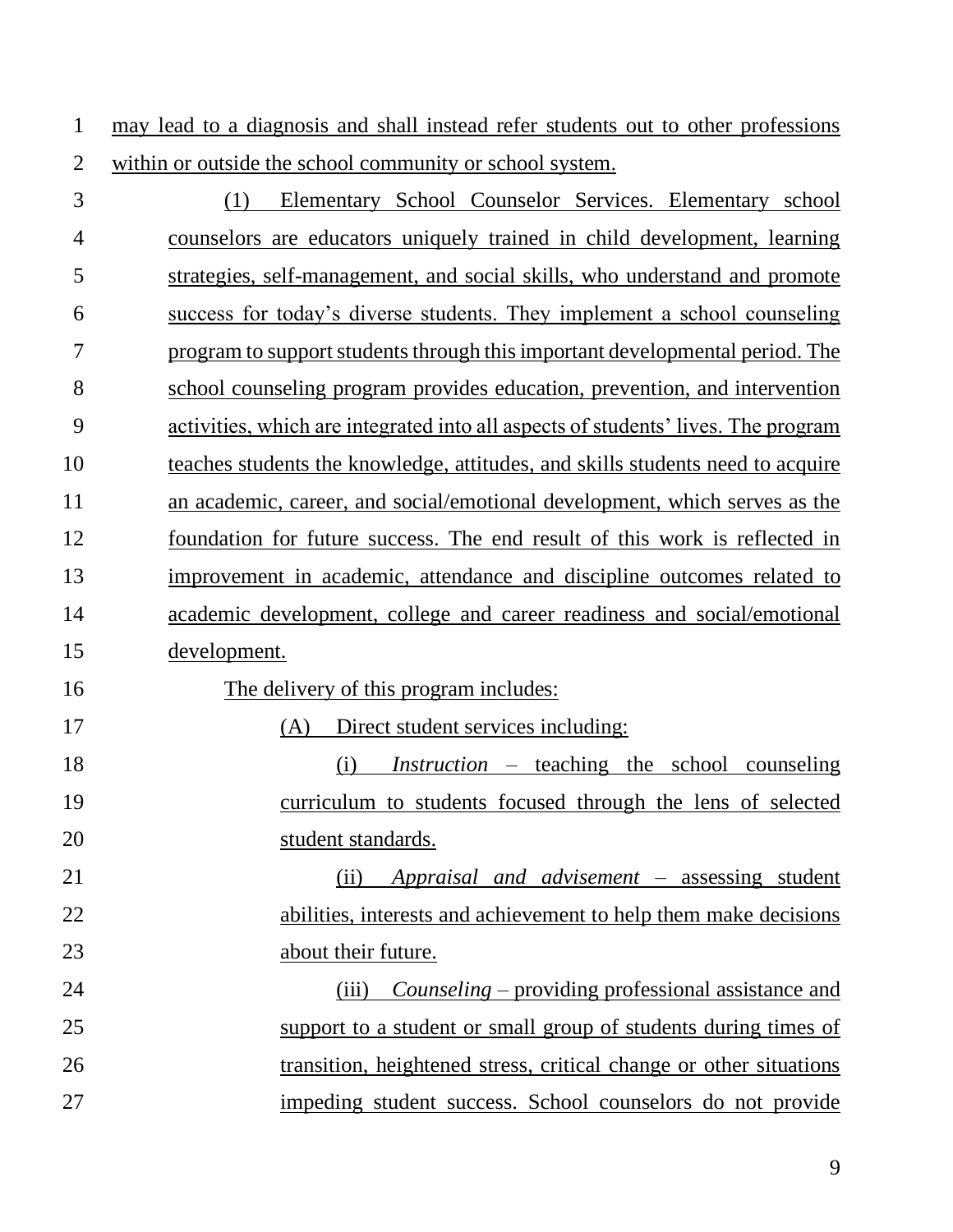may lead to a diagnosis and shall instead refer students out to other professions within or outside the school community or school system.

 (1) Elementary School Counselor Services. Elementary school counselors are educators uniquely trained in child development, learning strategies, self-management, and social skills, who understand and promote success for today's diverse students. They implement a school counseling program to support students through this important developmental period. The school counseling program provides education, prevention, and intervention activities, which are integrated into all aspects of students' lives. The program teaches students the knowledge, attitudes, and skills students need to acquire an academic, career, and social/emotional development, which serves as the foundation for future success. The end result of this work is reflected in improvement in academic, attendance and discipline outcomes related to academic development, college and career readiness and social/emotional development. The delivery of this program includes:

(A) Direct student services including:

 (i) *Instruction* – teaching the school counseling curriculum to students focused through the lens of selected student standards.

 (ii) *Appraisal and advisement* – assessing student abilities, interests and achievement to help them make decisions about their future.

 (iii) *Counseling* – providing professional assistance and support to a student or small group of students during times of transition, heightened stress, critical change or other situations impeding student success. School counselors do not provide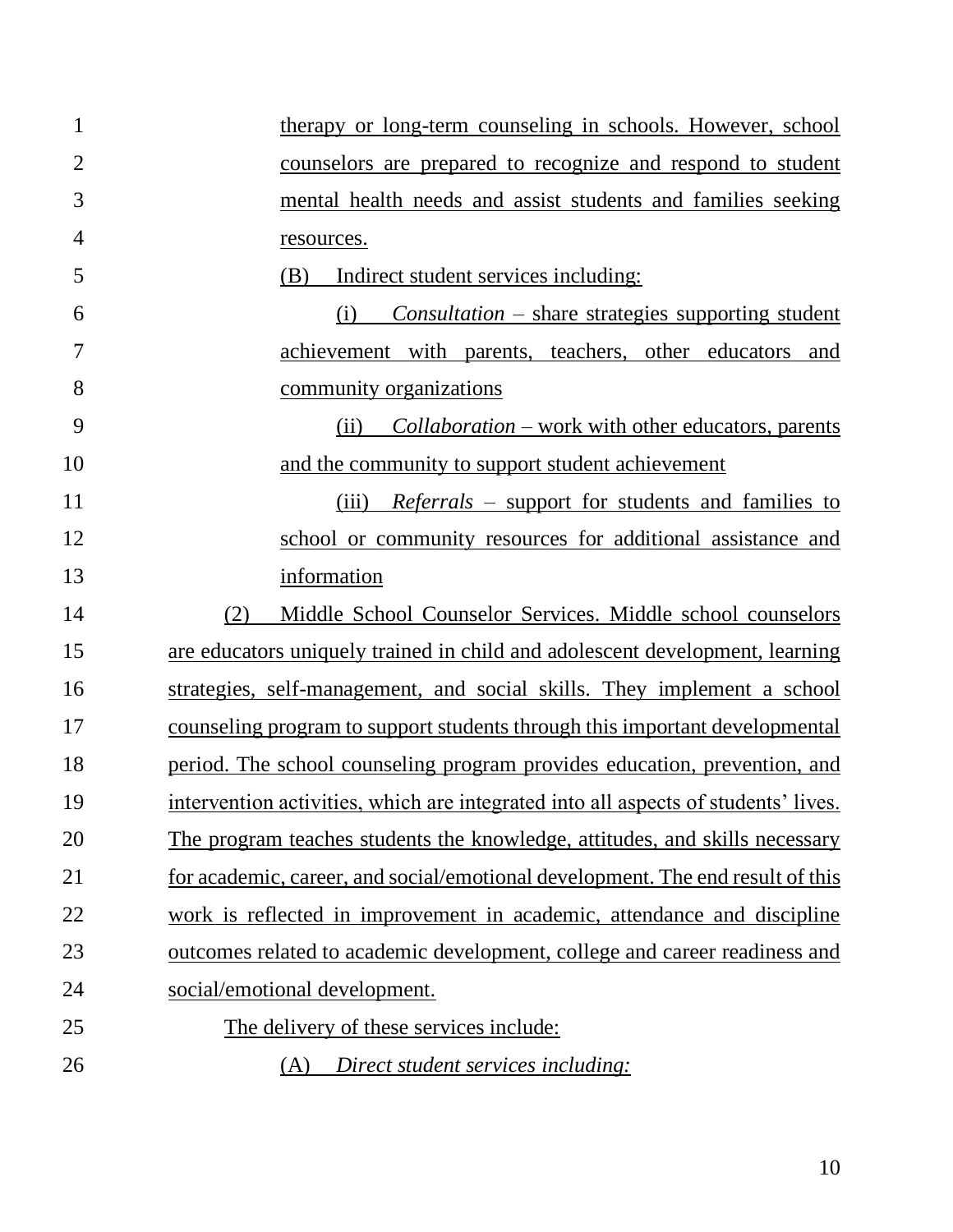| $\mathbf{1}$   | therapy or long-term counseling in schools. However, school                        |
|----------------|------------------------------------------------------------------------------------|
| $\overline{2}$ | counselors are prepared to recognize and respond to student                        |
| 3              | mental health needs and assist students and families seeking                       |
| $\overline{4}$ | resources.                                                                         |
| 5              | (B)<br>Indirect student services including:                                        |
| 6              | $Consulation - share strategies supporting student$<br>(i)                         |
| 7              | achievement with parents, teachers, other educators and                            |
| 8              | community organizations                                                            |
| 9              | <i>Collaboration</i> – work with other educators, parents<br>(ii)                  |
| 10             | and the community to support student achievement                                   |
| 11             | (iii)<br><i>Referrals</i> – support for students and families to                   |
| 12             | school or community resources for additional assistance and                        |
| 13             | information                                                                        |
| 14             | Middle School Counselor Services. Middle school counselors<br>(2)                  |
| 15             | are educators uniquely trained in child and adolescent development, learning       |
| 16             | strategies, self-management, and social skills. They implement a school            |
| 17             | <u>counseling program to support students through this important developmental</u> |
| 18             | period. The school counseling program provides education, prevention, and          |
| 19             | intervention activities, which are integrated into all aspects of students' lives. |
| 20             | The program teaches students the knowledge, attitudes, and skills necessary        |
| 21             | for academic, career, and social/emotional development. The end result of this     |
| 22             | work is reflected in improvement in academic, attendance and discipline            |
| 23             | outcomes related to academic development, college and career readiness and         |
| 24             | social/emotional development.                                                      |
| 25             | The delivery of these services include:                                            |
| 26             | Direct student services including:<br>(A)                                          |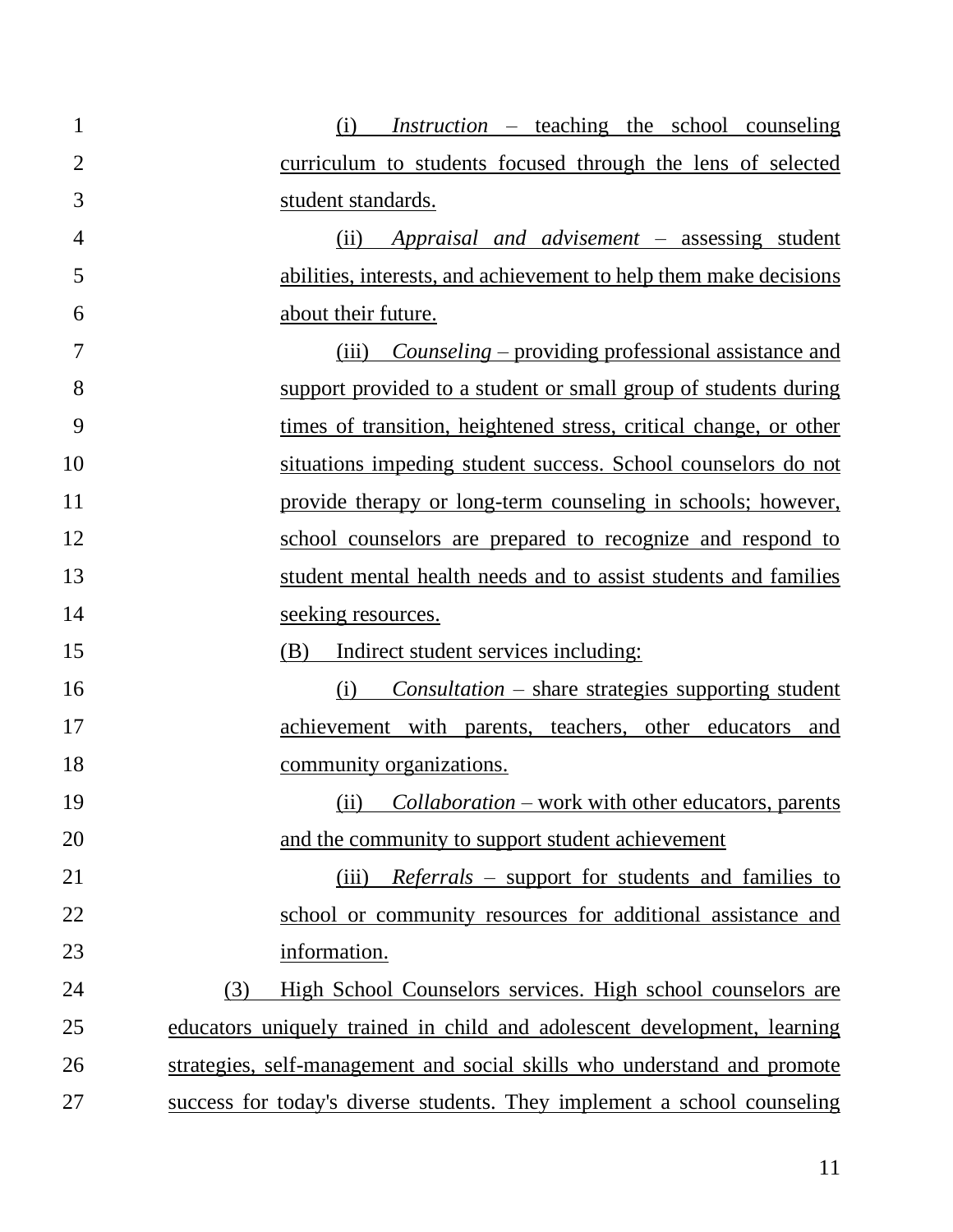| $\mathbf{1}$   | (i) <i>Instruction</i> – teaching the school counseling                  |
|----------------|--------------------------------------------------------------------------|
| $\overline{2}$ | curriculum to students focused through the lens of selected              |
| 3              | student standards.                                                       |
| 4              | Appraisal and advisement – assessing student<br>(ii)                     |
| 5              | abilities, interests, and achievement to help them make decisions        |
| 6              | about their future.                                                      |
| 7              | <i>Counseling – providing professional assistance and</i><br>(iii)       |
| 8              | support provided to a student or small group of students during          |
| 9              | times of transition, heightened stress, critical change, or other        |
| 10             | situations impeding student success. School counselors do not            |
| 11             | provide therapy or long-term counseling in schools; however,             |
| 12             | school counselors are prepared to recognize and respond to               |
| 13             | student mental health needs and to assist students and families          |
| 14             | seeking resources.                                                       |
| 15             | Indirect student services including:<br>(B)                              |
| 16             | $Consulation - share strategies supporting student$<br>(i)               |
| 17             | achievement with parents, teachers, other educators and                  |
| 18             | community organizations.                                                 |
| 19             | (ii) Collaboration – work with other educators, parents                  |
| 20             | and the community to support student achievement                         |
| 21             | <i>Referrals – support for students and families to</i><br>(iii)         |
| 22             | school or community resources for additional assistance and              |
| 23             | information.                                                             |
| 24             | High School Counselors services. High school counselors are<br>(3)       |
| 25             | educators uniquely trained in child and adolescent development, learning |
| 26             | strategies, self-management and social skills who understand and promote |
| 27             | success for today's diverse students. They implement a school counseling |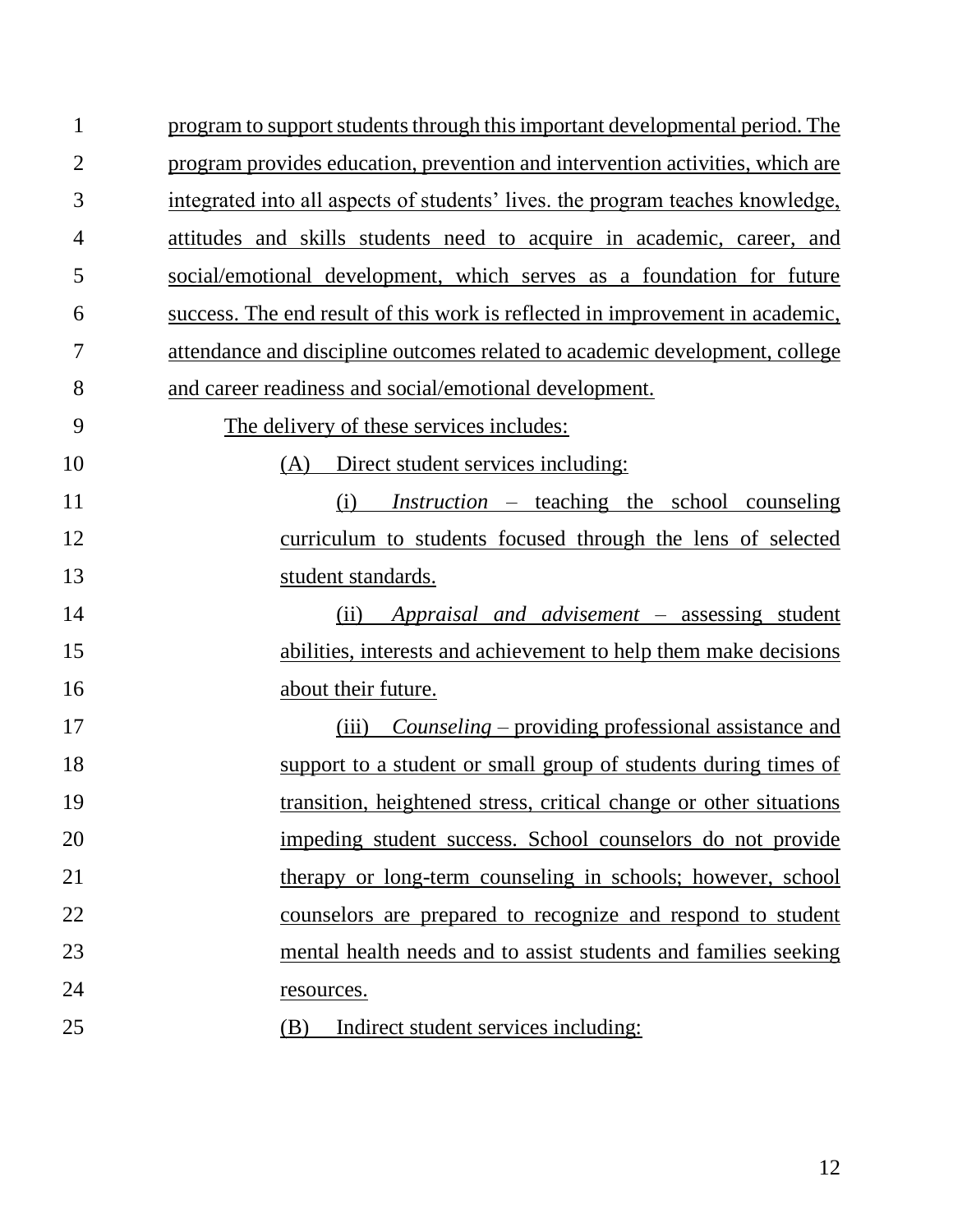| $\mathbf{1}$   | program to support students through this important developmental period. The   |
|----------------|--------------------------------------------------------------------------------|
|                |                                                                                |
| $\overline{2}$ | program provides education, prevention and intervention activities, which are  |
| 3              | integrated into all aspects of students' lives, the program teaches knowledge, |
| $\overline{4}$ | attitudes and skills students need to acquire in academic, career, and         |
| 5              | social/emotional development, which serves as a foundation for future          |
| 6              | success. The end result of this work is reflected in improvement in academic,  |
| 7              | attendance and discipline outcomes related to academic development, college    |
| 8              | and career readiness and social/emotional development.                         |
| 9              | The delivery of these services includes:                                       |
| 10             | Direct student services including:<br>(A)                                      |
| 11             | <i>Instruction</i> – teaching the school counseling<br>(i)                     |
| 12             | curriculum to students focused through the lens of selected                    |
| 13             | student standards.                                                             |
| 14             | Appraisal and advisement – assessing student<br>(ii)                           |
| 15             | abilities, interests and achievement to help them make decisions               |
| 16             | about their future.                                                            |
| 17             | <i>Counseling</i> – providing professional assistance and<br>(iii)             |
| 18             | support to a student or small group of students during times of                |
| 19             | transition, heightened stress, critical change or other situations             |
| 20             | impeding student success. School counselors do not provide                     |
| 21             | therapy or long-term counseling in schools; however, school                    |
| 22             | counselors are prepared to recognize and respond to student                    |
| 23             | mental health needs and to assist students and families seeking                |
| 24             | resources.                                                                     |
| 25             | Indirect student services including:<br>(B)                                    |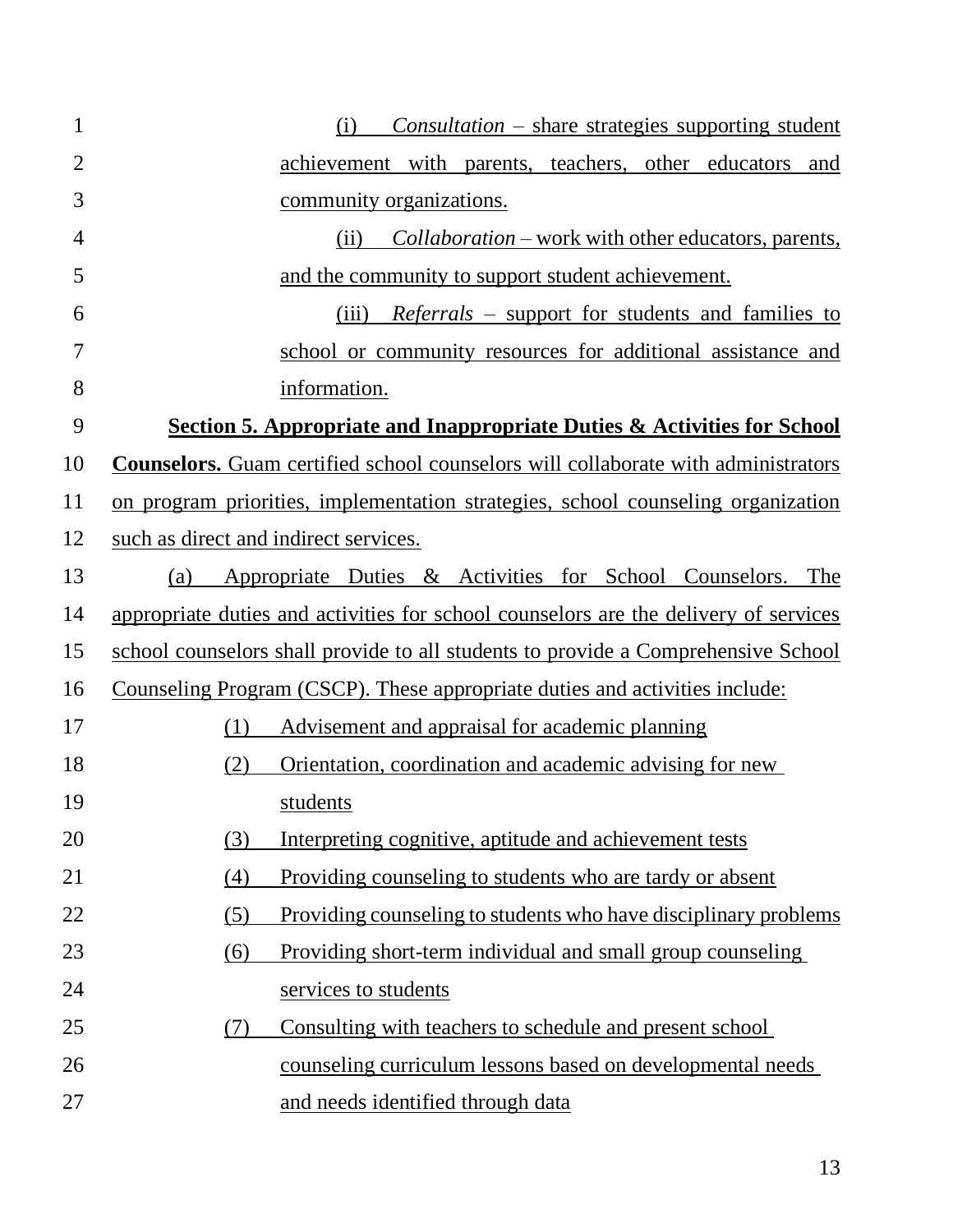| $\mathbf{1}$   | $Consulation - share strategies supporting student$<br>(i)                               |
|----------------|------------------------------------------------------------------------------------------|
| $\overline{2}$ | achievement with parents, teachers, other educators and                                  |
| 3              | community organizations.                                                                 |
| $\overline{4}$ | (ii)<br><i>Collaboration</i> – work with other educators, parents,                       |
| 5              | and the community to support student achievement.                                        |
| 6              | (iii)<br><i>Referrals</i> – support for students and families to                         |
| 7              | school or community resources for additional assistance and                              |
| 8              | information.                                                                             |
| 9              | <b>Section 5. Appropriate and Inappropriate Duties &amp; Activities for School</b>       |
| 10             | <b>Counselors.</b> Guam certified school counselors will collaborate with administrators |
| 11             | on program priorities, implementation strategies, school counseling organization         |
| 12             | such as direct and indirect services.                                                    |
| 13             | Appropriate Duties & Activities for School Counselors. The<br>(a)                        |
| 14             | appropriate duties and activities for school counselors are the delivery of services     |
| 15             | school counselors shall provide to all students to provide a Comprehensive School        |
| 16             | Counseling Program (CSCP). These appropriate duties and activities include:              |
| 17             | (1)<br>Advisement and appraisal for academic planning                                    |
| 18             | (2)<br>Orientation, coordination and academic advising for new                           |
| 19             | students                                                                                 |
| 20             | Interpreting cognitive, aptitude and achievement tests<br>(3)                            |
| 21             | Providing counseling to students who are tardy or absent<br>(4)                          |
| 22             | (5)<br>Providing counseling to students who have disciplinary problems                   |
| 23             | Providing short-term individual and small group counseling<br>(6)                        |
| 24             | services to students                                                                     |
| 25             | Consulting with teachers to schedule and present school<br>(7)                           |
| 26             | <u>counseling curriculum lessons based on developmental needs</u>                        |
| 27             | and needs identified through data                                                        |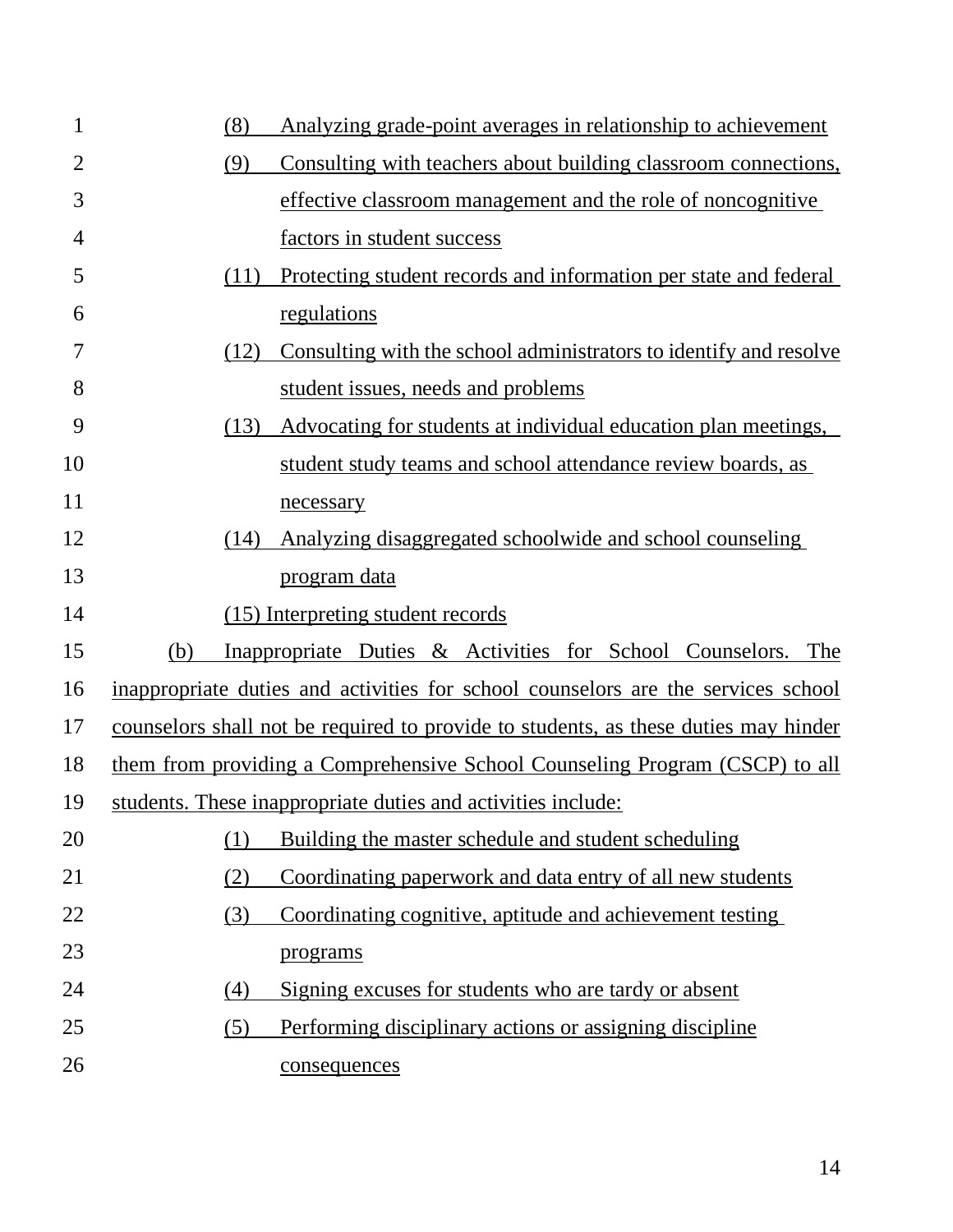| $\mathbf{1}$   | (8)  | Analyzing grade-point averages in relationship to achievement                       |
|----------------|------|-------------------------------------------------------------------------------------|
| $\overline{2}$ | (9)  | Consulting with teachers about building classroom connections,                      |
| 3              |      | effective classroom management and the role of noncognitive                         |
| 4              |      | factors in student success                                                          |
| 5              | (11) | Protecting student records and information per state and federal                    |
| 6              |      | regulations                                                                         |
| 7              | (12) | Consulting with the school administrators to identify and resolve                   |
| 8              |      | student issues, needs and problems                                                  |
| 9              | (13) | Advocating for students at individual education plan meetings,                      |
| 10             |      | student study teams and school attendance review boards, as                         |
| 11             |      | necessary                                                                           |
| 12             | (14) | Analyzing disaggregated schoolwide and school counseling                            |
| 13             |      | <u>program data</u>                                                                 |
| 14             |      | (15) Interpreting student records                                                   |
| 15             | (b)  | Inappropriate Duties & Activities for School Counselors. The                        |
| 16             |      | inappropriate duties and activities for school counselors are the services school   |
| 17             |      | counselors shall not be required to provide to students, as these duties may hinder |
| 18             |      | them from providing a Comprehensive School Counseling Program (CSCP) to all         |
| 19             |      | students. These inappropriate duties and activities include:                        |
| 20             | (1)  | Building the master schedule and student scheduling                                 |
| 21             | (2)  | Coordinating paperwork and data entry of all new students                           |
| 22             | (3)  | Coordinating cognitive, aptitude and achievement testing                            |
| 23             |      | programs                                                                            |
| 24             | (4)  | Signing excuses for students who are tardy or absent                                |
| 25             | (5)  | Performing disciplinary actions or assigning discipline                             |
| 26             |      | consequences                                                                        |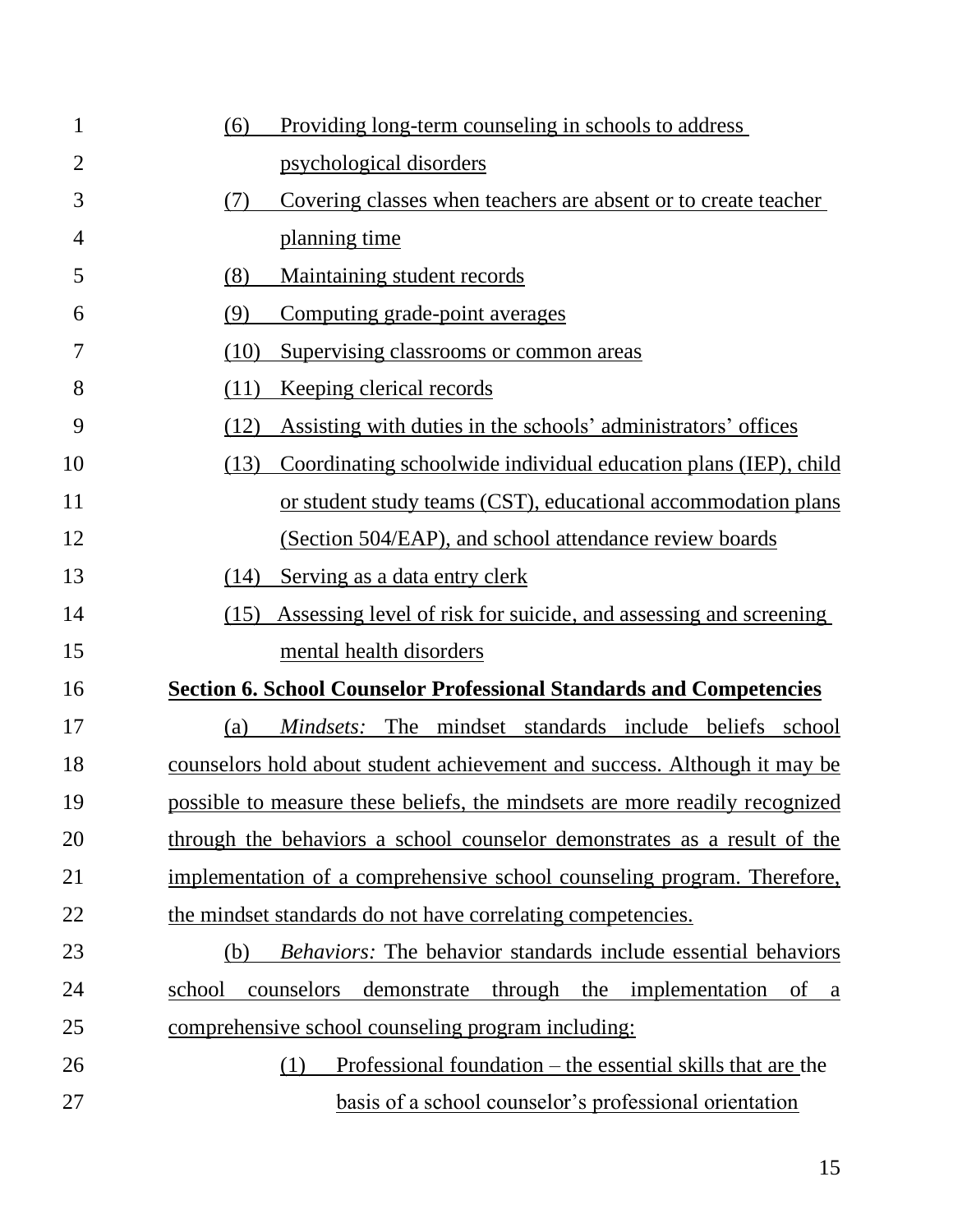| $\mathbf{1}$   | Providing long-term counseling in schools to address<br>(6)                       |
|----------------|-----------------------------------------------------------------------------------|
| $\overline{2}$ | psychological disorders                                                           |
| 3              | Covering classes when teachers are absent or to create teacher<br>(7)             |
| 4              | planning time                                                                     |
| 5              | Maintaining student records<br>(8)                                                |
| 6              | Computing grade-point averages<br>(9)                                             |
| 7              | (10)<br>Supervising classrooms or common areas                                    |
| 8              | (11)<br><u>Keeping clerical records</u>                                           |
| 9              | Assisting with duties in the schools' administrators' offices<br>(12)             |
| 10             | Coordinating schoolwide individual education plans (IEP), child<br>(13)           |
| 11             | or student study teams (CST), educational accommodation plans                     |
| 12             | (Section 504/EAP), and school attendance review boards                            |
| 13             | (14)<br>Serving as a data entry clerk                                             |
| 14             | Assessing level of risk for suicide, and assessing and screening<br>(15)          |
| 15             | mental health disorders                                                           |
| 16             | <b>Section 6. School Counselor Professional Standards and Competencies</b>        |
| 17             | Mindsets: The mindset standards include beliefs school<br>(a)                     |
| 18             | counselors hold about student achievement and success. Although it may be         |
| 19             | possible to measure these beliefs, the mindsets are more readily recognized       |
| 20             | through the behaviors a school counselor demonstrates as a result of the          |
| 21             | implementation of a comprehensive school counseling program. Therefore,           |
| 22             | the mindset standards do not have correlating competencies.                       |
| 23             | <i>Behaviors:</i> The behavior standards include essential behaviors<br>(b)       |
| 24             | counselors demonstrate through the implementation<br>school<br>of<br><sub>a</sub> |
| 25             | comprehensive school counseling program including:                                |
| 26             | Professional foundation – the essential skills that are the<br>(1)                |
| 27             | basis of a school counselor's professional orientation                            |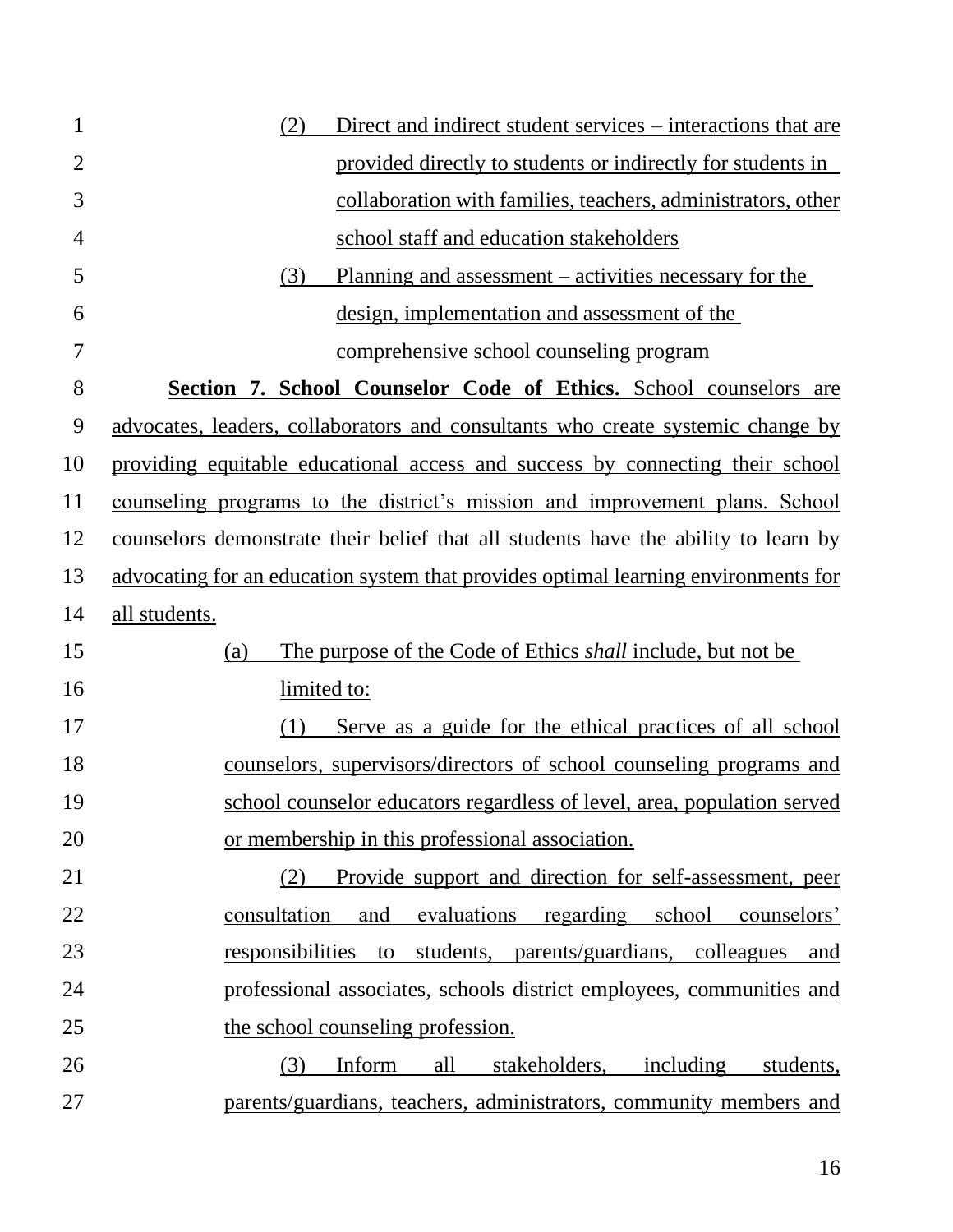| $\mathbf{1}$   | (2)<br>Direct and indirect student services – interactions that are                |
|----------------|------------------------------------------------------------------------------------|
| $\overline{2}$ | provided directly to students or indirectly for students in                        |
| 3              | collaboration with families, teachers, administrators, other                       |
| $\overline{4}$ | school staff and education stakeholders                                            |
| 5              | (3)<br>Planning and assessment – activities necessary for the                      |
| 6              | design, implementation and assessment of the                                       |
| 7              | comprehensive school counseling program                                            |
| 8              | Section 7. School Counselor Code of Ethics. School counselors are                  |
| 9              | advocates, leaders, collaborators and consultants who create systemic change by    |
| 10             | providing equitable educational access and success by connecting their school      |
| 11             | counseling programs to the district's mission and improvement plans. School        |
| 12             | counselors demonstrate their belief that all students have the ability to learn by |
| 13             | advocating for an education system that provides optimal learning environments for |
| 14             | all students.                                                                      |
| 15             | The purpose of the Code of Ethics shall include, but not be<br>(a)                 |
| 16             | limited to:                                                                        |
| 17             | Serve as a guide for the ethical practices of all school<br>(1)                    |
| 18             | counselors, supervisors/directors of school counseling programs and                |
| 19             | school counselor educators regardless of level, area, population served            |
| 20             | or membership in this professional association.                                    |
| 21             | Provide support and direction for self-assessment, peer<br>(2)                     |
| 22             | evaluations regarding school counselors'<br>consultation<br>and                    |
| 23             | responsibilities to students, parents/guardians, colleagues and                    |
| 24             | professional associates, schools district employees, communities and               |
| 25             | the school counseling profession.                                                  |
| 26             | Inform<br>all<br>stakeholders, including students,<br>(3)                          |
| 27             | parents/guardians, teachers, administrators, community members and                 |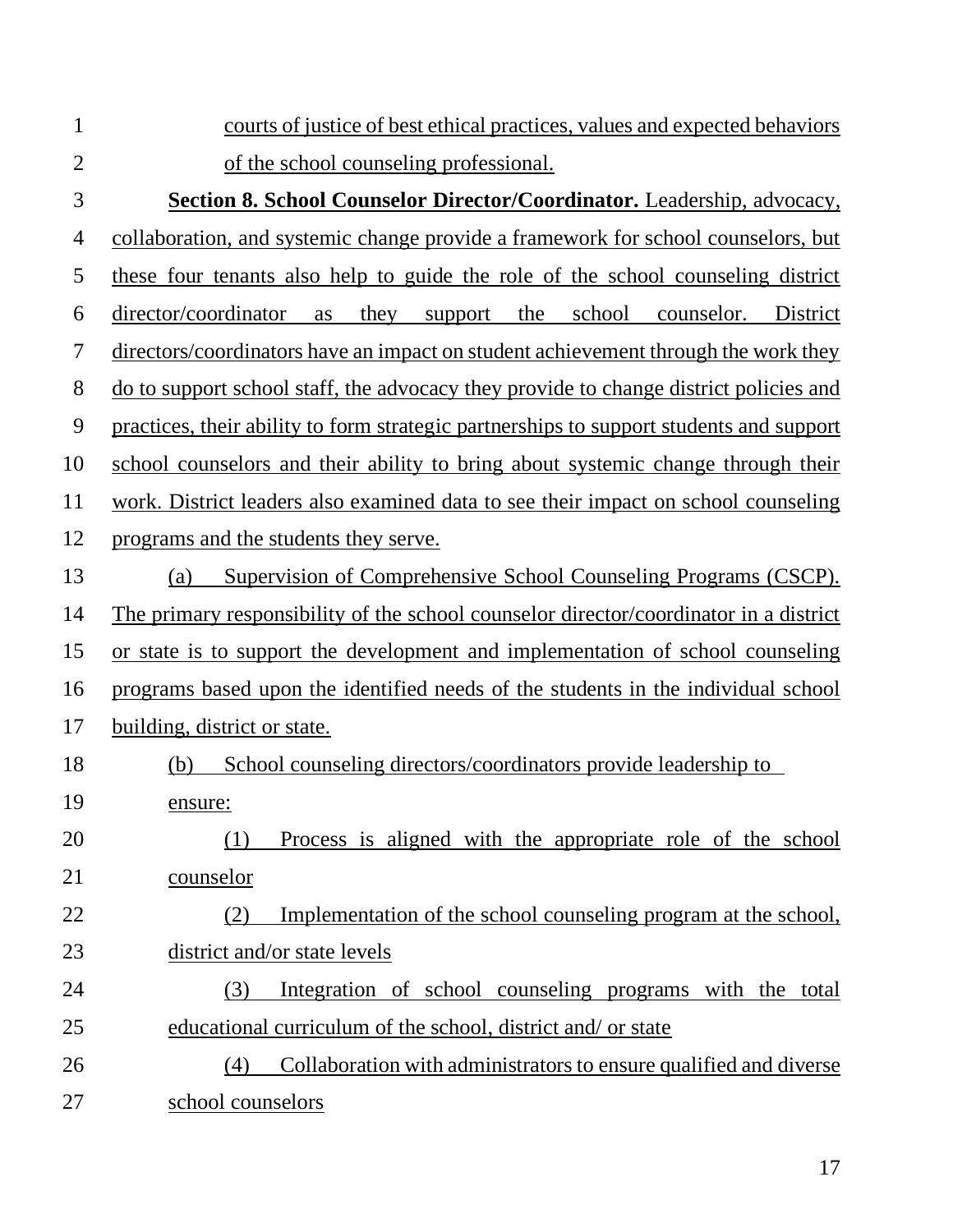| $\mathbf{1}$   | courts of justice of best ethical practices, values and expected behaviors                   |
|----------------|----------------------------------------------------------------------------------------------|
| $\overline{2}$ | of the school counseling professional.                                                       |
| 3              | <b>Section 8. School Counselor Director/Coordinator.</b> Leadership, advocacy,               |
| $\overline{4}$ | collaboration, and systemic change provide a framework for school counselors, but            |
| 5              | these four tenants also help to guide the role of the school counseling district             |
| 6              | director/coordinator<br>they<br>the<br>school<br>counselor.<br>District<br>as<br>support     |
| 7              | directors/coordinators have an impact on student achievement through the work they           |
| 8              | <u>do to support school staff, the advocacy they provide to change district policies and</u> |
| 9              | practices, their ability to form strategic partnerships to support students and support      |
| 10             | school counselors and their ability to bring about systemic change through their             |
| 11             | work. District leaders also examined data to see their impact on school counseling           |
| 12             | programs and the students they serve.                                                        |
| 13             | Supervision of Comprehensive School Counseling Programs (CSCP).<br>(a)                       |
| 14             | The primary responsibility of the school counselor director/coordinator in a district        |
| 15             | or state is to support the development and implementation of school counseling               |
| 16             | programs based upon the identified needs of the students in the individual school            |
| 17             | building, district or state.                                                                 |
| 18             | School counseling directors/coordinators provide leadership to<br>(b)                        |
| 19             | ensure:                                                                                      |
| 20             | Process is aligned with the appropriate role of the school<br>(1)                            |
| 21             | counselor                                                                                    |
| 22             | Implementation of the school counseling program at the school,<br>(2)                        |
| 23             | district and/or state levels                                                                 |
| 24             | Integration of school counseling programs with the total<br>(3)                              |
| 25             | educational curriculum of the school, district and/ or state                                 |
| 26             | Collaboration with administrators to ensure qualified and diverse<br>(4)                     |
| 27             | school counselors                                                                            |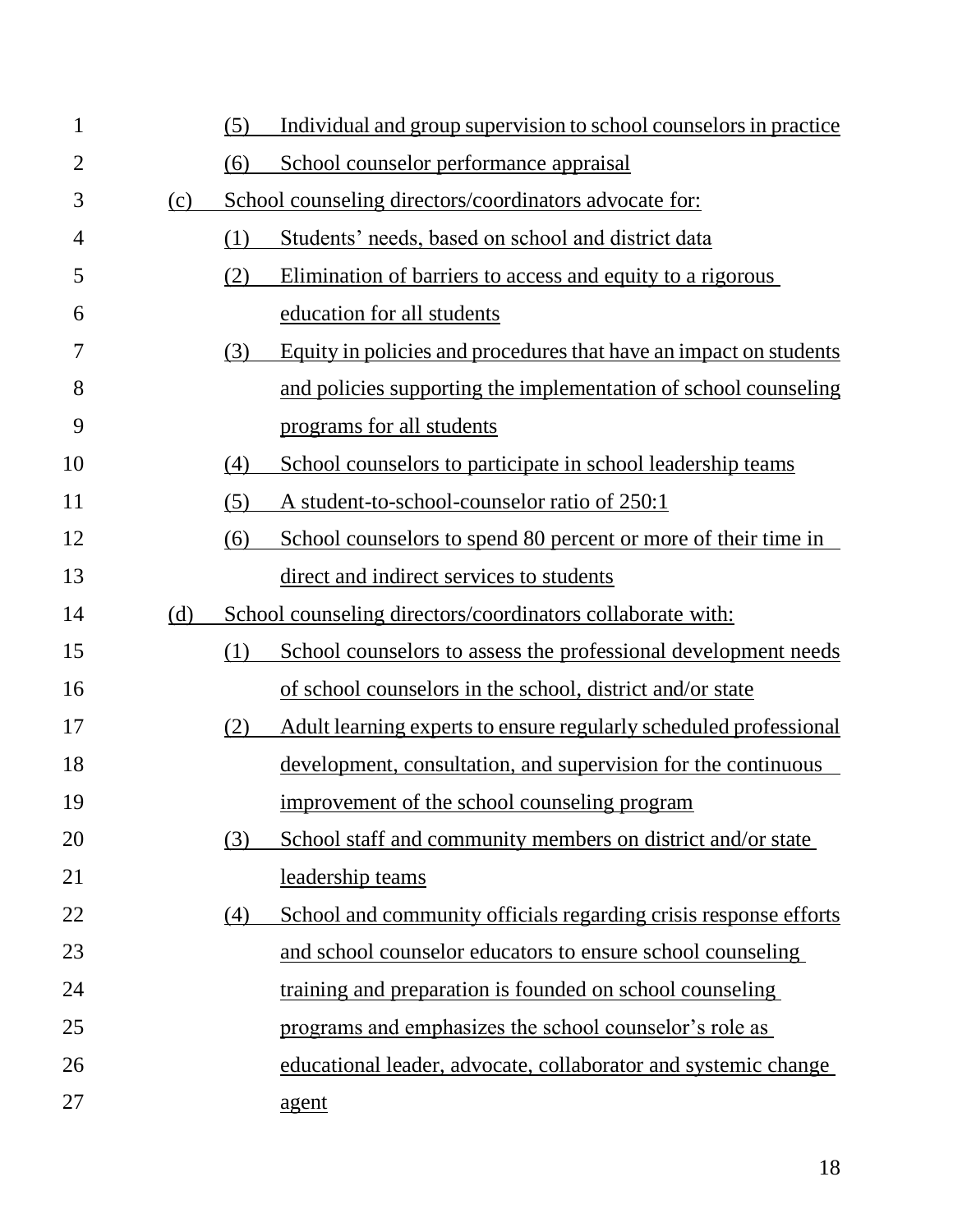| $\mathbf{1}$   |     | (5) | Individual and group supervision to school counselors in practice |
|----------------|-----|-----|-------------------------------------------------------------------|
| $\overline{2}$ |     | (6) | School counselor performance appraisal                            |
| 3              | (c) |     | School counseling directors/coordinators advocate for:            |
| 4              |     | (1) | Students' needs, based on school and district data                |
| 5              |     | (2) | Elimination of barriers to access and equity to a rigorous        |
| 6              |     |     | education for all students                                        |
| 7              |     | (3) | Equity in policies and procedures that have an impact on students |
| 8              |     |     | and policies supporting the implementation of school counseling   |
| 9              |     |     | programs for all students                                         |
| 10             |     | (4) | School counselors to participate in school leadership teams       |
| 11             |     | (5) | A student-to-school-counselor ratio of 250:1                      |
| 12             |     | (6) | School counselors to spend 80 percent or more of their time in    |
| 13             |     |     | direct and indirect services to students                          |
| 14             | (d) |     | School counseling directors/coordinators collaborate with:        |
| 15             |     | (1) | School counselors to assess the professional development needs    |
| 16             |     |     | of school counselors in the school, district and/or state         |
| 17             |     | (2) | Adult learning experts to ensure regularly scheduled professional |
| 18             |     |     | development, consultation, and supervision for the continuous     |
| 19             |     |     | improvement of the school counseling program                      |
| 20             |     | (3) | School staff and community members on district and/or state       |
| 21             |     |     | leadership teams                                                  |
| 22             |     | (4) | School and community officials regarding crisis response efforts  |
| 23             |     |     | and school counselor educators to ensure school counseling        |
| 24             |     |     | training and preparation is founded on school counseling          |
| 25             |     |     | programs and emphasizes the school counselor's role as            |
| 26             |     |     | educational leader, advocate, collaborator and systemic change    |
| 27             |     |     | agent                                                             |